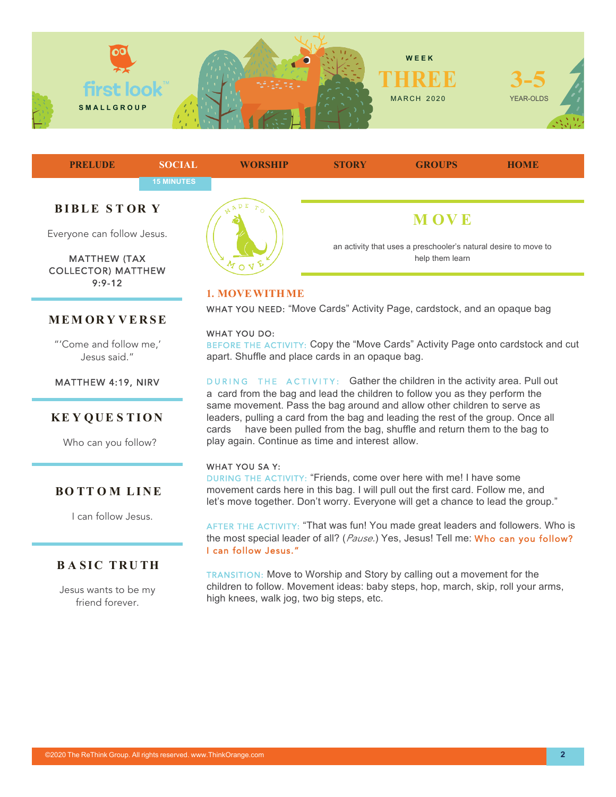



COLLECTOR) MATTHEW 9:9-12

### **MEM OR Y VERSE**

"'Come and follow me,' Jesus said."

#### MATTHEW 4:19, NIRV

## **KE Y QUE S TION**

Who can you follow?

#### **BO TT O M LINE**

I can follow Jesus.

# **BASIC TRUTH**

Jesus wants to be my friend forever.



#### **1. MOVEWITHME**

WHAT YOU NEED: "Move Cards" Activity Page, cardstock, and an opaque bag

### WHAT YOU DO:

BEFORE THE ACTIVITY: Copy the "Move Cards" Activity Page onto cardstock and cut apart. Shuffle and place cards in an opaque bag.

DURING THE ACTIVITY: Gather the children in the activity area. Pull out a card from the bag and lead the children to follow you as they perform the same movement. Pass the bag around and allow other children to serve as leaders, pulling a card from the bag and leading the rest of the group. Once all cards have been pulled from the bag, shuffle and return them to the bag to play again. Continue as time and interest allow.

#### WHAT YOU SA Y:

DURING THE ACTIVITY: "Friends, come over here with me! I have some movement cards here in this bag. I will pull out the first card. Follow me, and let's move together. Don't worry. Everyone will get a chance to lead the group."

AFTER THE ACTIVITY: "That was fun! You made great leaders and followers. Who is the most special leader of all? (*Pause.*) Yes, Jesus! Tell me: Who can you follow? I can follow Jesus."

TRANSITION: Move to Worship and Story by calling out a movement for the children to follow. Movement ideas: baby steps, hop, march, skip, roll your arms, high knees, walk jog, two big steps, etc.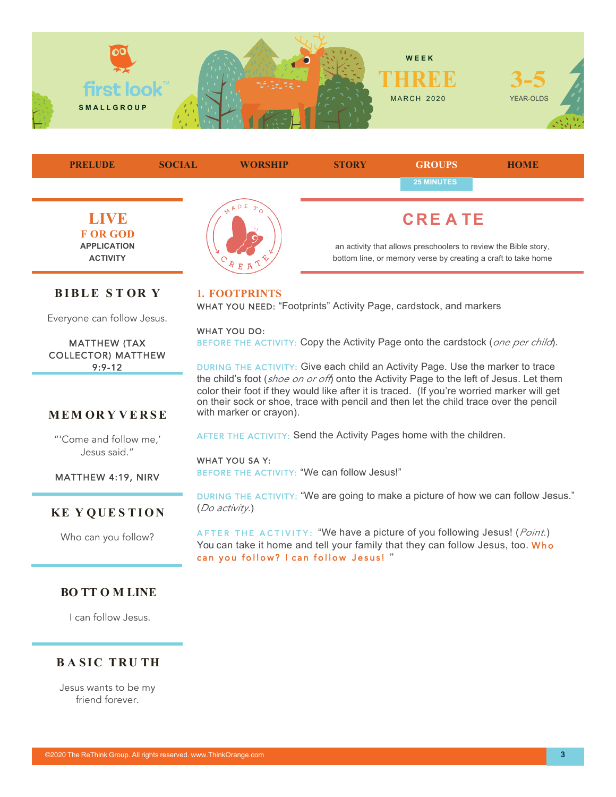



can you follow? I can follow Jesus! "

AFTER THE ACTIVITY: "We have a picture of you following Jesus! (*Point.*) You can take it home and tell your family that they can follow Jesus, too. Who

# **KE Y QUE S TION**

Who can you follow?

## **BO TT O M LINE**

I can follow Jesus.

# **B A SIC TRU TH**

Jesus wants to be my friend forever.

©2020 The ReThink Group. All rights reserved. www.ThinkOrange.com **3**